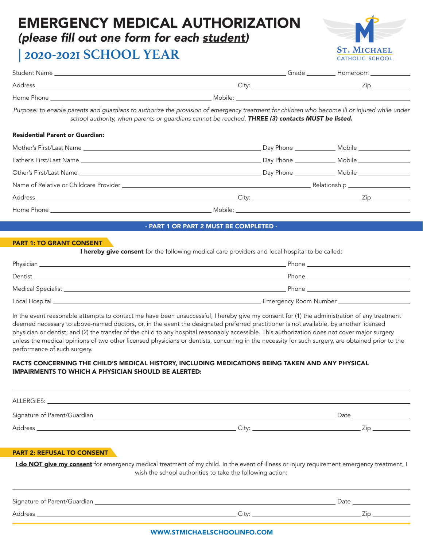## EMERGENCY MEDICAL AUTHORIZATION

### (please fill out one form for each student*)*

### **| 2020-2021 SCHOOL YEAR**



| Purpose: to enable parents and guardians to authorize the provision of emergency treatment for children who become ill or injured while under<br>school authority, when parents or guardians cannot be reached. THREE (3) contacts MUST be listed. |  |  |  |
|----------------------------------------------------------------------------------------------------------------------------------------------------------------------------------------------------------------------------------------------------|--|--|--|
| <b>Residential Parent or Guardian:</b>                                                                                                                                                                                                             |  |  |  |
|                                                                                                                                                                                                                                                    |  |  |  |
|                                                                                                                                                                                                                                                    |  |  |  |
|                                                                                                                                                                                                                                                    |  |  |  |
|                                                                                                                                                                                                                                                    |  |  |  |
|                                                                                                                                                                                                                                                    |  |  |  |
|                                                                                                                                                                                                                                                    |  |  |  |

#### - PART 1 OR PART 2 MUST BE COMPLETED -

#### PART 1: TO GRANT CONSENT

**I hereby give consent** for the following medical care providers and local hospital to be called:

| Physician           | Phone                        |
|---------------------|------------------------------|
| Dentist             | Phone                        |
| Medical Specialist_ | Phone                        |
| Local Hospital      | <b>Emergency Room Number</b> |

In the event reasonable attempts to contact me have been unsuccessful, I hereby give my consent for (1) the administration of any treatment deemed necessary to above-named doctors, or, in the event the designated preferred practitioner is not available, by another licensed physician or dentist; and (2) the transfer of the child to any hospital reasonably accessible. This authorization does not cover major surgery unless the medical opinions of two other licensed physicians or dentists, concurring in the necessity for such surgery, are obtained prior to the performance of such surgery.

#### FACTS CONCERNING THE CHILD'S MEDICAL HISTORY, INCLUDING MEDICATIONS BEING TAKEN AND ANY PHYSICAL IMPAIRMENTS TO WHICH A PHYSICIAN SHOULD BE ALERTED:

| ALLERGIES:                     |       |             |
|--------------------------------|-------|-------------|
| Signature of Parent/Guardian _ |       | Date        |
| Address                        | Citv: | $\sqrt{1}r$ |
|                                |       |             |

#### PART 2: REFUSAL TO CONSENT

I do NOT give my consent for emergency medical treatment of my child. In the event of illness or injury requirement emergency treatment, I wish the school authorities to take the following action:

| Signature of Parent/Guardian |             | Date |
|------------------------------|-------------|------|
| Address                      | $+111$<br>◡ |      |